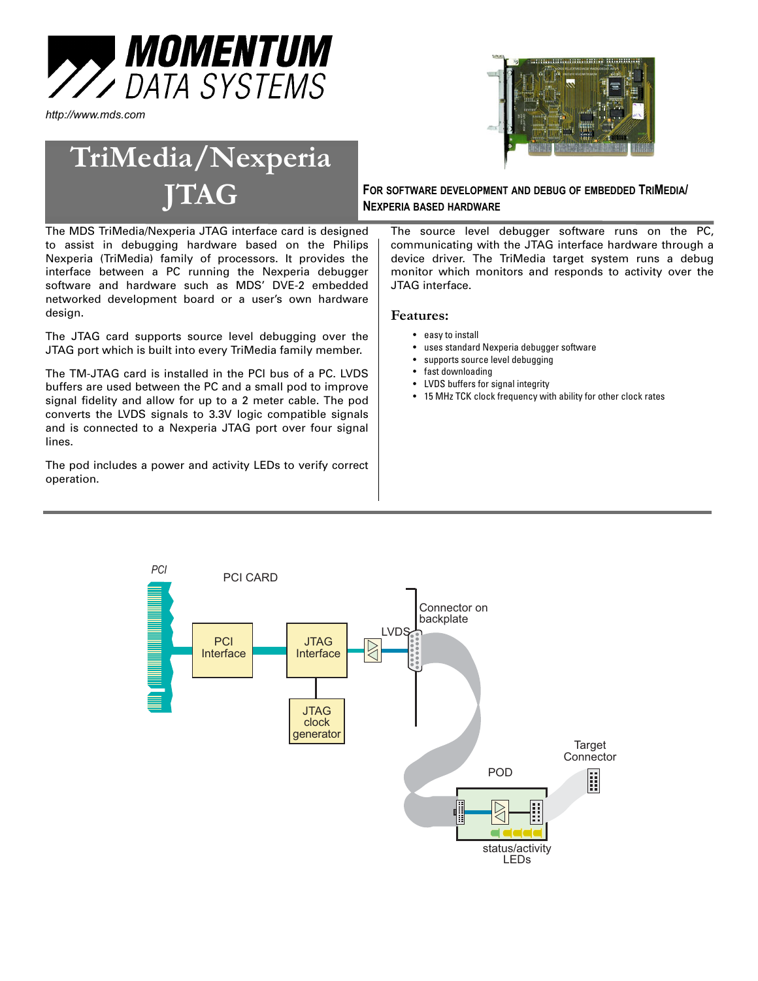

*http://www.mds.com*

# **TriMedia/Nexperia**

The MDS TriMedia/Nexperia JTAG interface card is designed to assist in debugging hardware based on the Philips Nexperia (TriMedia) family of processors. It provides the interface between a PC running the Nexperia debugger software and hardware such as MDS' DVE-2 embedded networked development board or a user's own hardware design.

The JTAG card supports source level debugging over the JTAG port which is built into every TriMedia family member.

The TM-JTAG card is installed in the PCI bus of a PC. LVDS buffers are used between the PC and a small pod to improve signal fidelity and allow for up to a 2 meter cable. The pod converts the LVDS signals to 3.3V logic compatible signals and is connected to a Nexperia JTAG port over four signal lines.

The pod includes a power and activity LEDs to verify correct operation.



### **JTAG FOR SOFTWARE DEVELOPMENT AND DEBUG OF EMBEDDED TRIMEDIA/ NEXPERIA BASED HARDWARE**

The source level debugger software runs on the PC, communicating with the JTAG interface hardware through a device driver. The TriMedia target system runs a debug monitor which monitors and responds to activity over the JTAG interface.

#### **Features:**

- easy to install
- uses standard Nexperia debugger software
- supports source level debugging
- fast downloading
- LVDS buffers for signal integrity • 15 MHz TCK clock frequency with ability for other clock rates